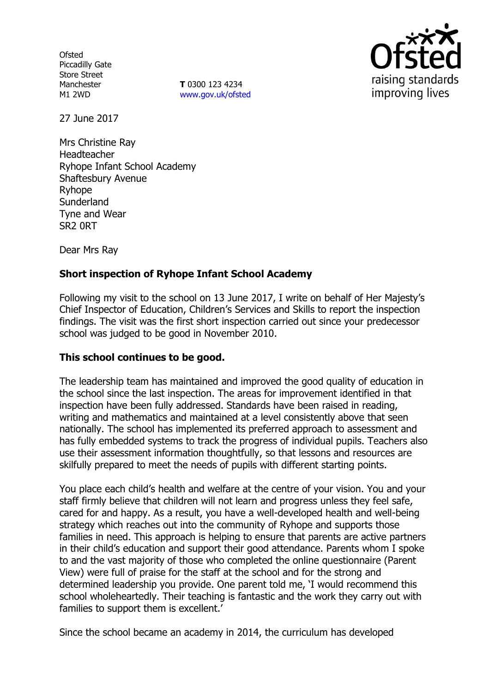**Ofsted** Piccadilly Gate Store Street Manchester M1 2WD

**T** 0300 123 4234 www.gov.uk/ofsted



27 June 2017

Mrs Christine Ray Headteacher Ryhope Infant School Academy Shaftesbury Avenue Ryhope **Sunderland** Tyne and Wear SR2 0RT

Dear Mrs Ray

# **Short inspection of Ryhope Infant School Academy**

Following my visit to the school on 13 June 2017, I write on behalf of Her Majesty's Chief Inspector of Education, Children's Services and Skills to report the inspection findings. The visit was the first short inspection carried out since your predecessor school was judged to be good in November 2010.

### **This school continues to be good.**

The leadership team has maintained and improved the good quality of education in the school since the last inspection. The areas for improvement identified in that inspection have been fully addressed. Standards have been raised in reading, writing and mathematics and maintained at a level consistently above that seen nationally. The school has implemented its preferred approach to assessment and has fully embedded systems to track the progress of individual pupils. Teachers also use their assessment information thoughtfully, so that lessons and resources are skilfully prepared to meet the needs of pupils with different starting points.

You place each child's health and welfare at the centre of your vision. You and your staff firmly believe that children will not learn and progress unless they feel safe, cared for and happy. As a result, you have a well-developed health and well-being strategy which reaches out into the community of Ryhope and supports those families in need. This approach is helping to ensure that parents are active partners in their child's education and support their good attendance. Parents whom I spoke to and the vast majority of those who completed the online questionnaire (Parent View) were full of praise for the staff at the school and for the strong and determined leadership you provide. One parent told me, 'I would recommend this school wholeheartedly. Their teaching is fantastic and the work they carry out with families to support them is excellent.'

Since the school became an academy in 2014, the curriculum has developed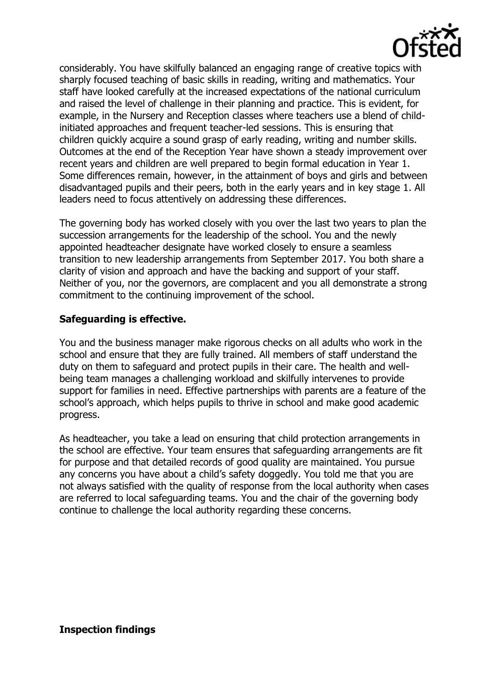

considerably. You have skilfully balanced an engaging range of creative topics with sharply focused teaching of basic skills in reading, writing and mathematics. Your staff have looked carefully at the increased expectations of the national curriculum and raised the level of challenge in their planning and practice. This is evident, for example, in the Nursery and Reception classes where teachers use a blend of childinitiated approaches and frequent teacher-led sessions. This is ensuring that children quickly acquire a sound grasp of early reading, writing and number skills. Outcomes at the end of the Reception Year have shown a steady improvement over recent years and children are well prepared to begin formal education in Year 1. Some differences remain, however, in the attainment of boys and girls and between disadvantaged pupils and their peers, both in the early years and in key stage 1. All leaders need to focus attentively on addressing these differences.

The governing body has worked closely with you over the last two years to plan the succession arrangements for the leadership of the school. You and the newly appointed headteacher designate have worked closely to ensure a seamless transition to new leadership arrangements from September 2017. You both share a clarity of vision and approach and have the backing and support of your staff. Neither of you, nor the governors, are complacent and you all demonstrate a strong commitment to the continuing improvement of the school.

### **Safeguarding is effective.**

You and the business manager make rigorous checks on all adults who work in the school and ensure that they are fully trained. All members of staff understand the duty on them to safeguard and protect pupils in their care. The health and wellbeing team manages a challenging workload and skilfully intervenes to provide support for families in need. Effective partnerships with parents are a feature of the school's approach, which helps pupils to thrive in school and make good academic progress.

As headteacher, you take a lead on ensuring that child protection arrangements in the school are effective. Your team ensures that safeguarding arrangements are fit for purpose and that detailed records of good quality are maintained. You pursue any concerns you have about a child's safety doggedly. You told me that you are not always satisfied with the quality of response from the local authority when cases are referred to local safeguarding teams. You and the chair of the governing body continue to challenge the local authority regarding these concerns.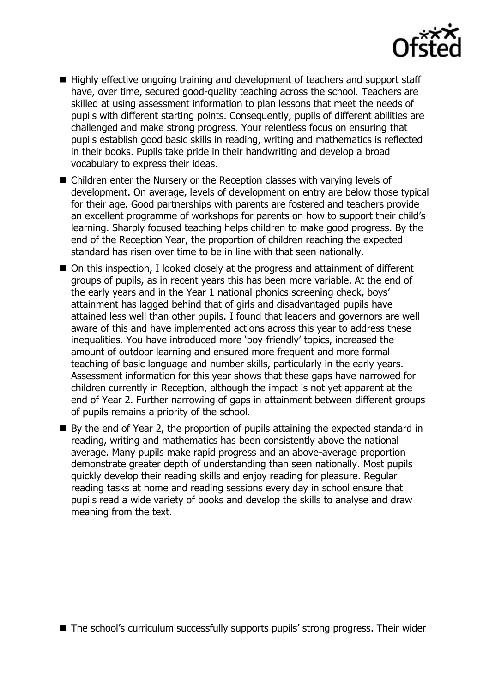

- Highly effective ongoing training and development of teachers and support staff have, over time, secured good-quality teaching across the school. Teachers are skilled at using assessment information to plan lessons that meet the needs of pupils with different starting points. Consequently, pupils of different abilities are challenged and make strong progress. Your relentless focus on ensuring that pupils establish good basic skills in reading, writing and mathematics is reflected in their books. Pupils take pride in their handwriting and develop a broad vocabulary to express their ideas.
- Children enter the Nursery or the Reception classes with varying levels of development. On average, levels of development on entry are below those typical for their age. Good partnerships with parents are fostered and teachers provide an excellent programme of workshops for parents on how to support their child's learning. Sharply focused teaching helps children to make good progress. By the end of the Reception Year, the proportion of children reaching the expected standard has risen over time to be in line with that seen nationally.
- On this inspection, I looked closely at the progress and attainment of different groups of pupils, as in recent years this has been more variable. At the end of the early years and in the Year 1 national phonics screening check, boys' attainment has lagged behind that of girls and disadvantaged pupils have attained less well than other pupils. I found that leaders and governors are well aware of this and have implemented actions across this year to address these inequalities. You have introduced more 'boy-friendly' topics, increased the amount of outdoor learning and ensured more frequent and more formal teaching of basic language and number skills, particularly in the early years. Assessment information for this year shows that these gaps have narrowed for children currently in Reception, although the impact is not yet apparent at the end of Year 2. Further narrowing of gaps in attainment between different groups of pupils remains a priority of the school.
- $\blacksquare$  By the end of Year 2, the proportion of pupils attaining the expected standard in reading, writing and mathematics has been consistently above the national average. Many pupils make rapid progress and an above-average proportion demonstrate greater depth of understanding than seen nationally. Most pupils quickly develop their reading skills and enjoy reading for pleasure. Regular reading tasks at home and reading sessions every day in school ensure that pupils read a wide variety of books and develop the skills to analyse and draw meaning from the text.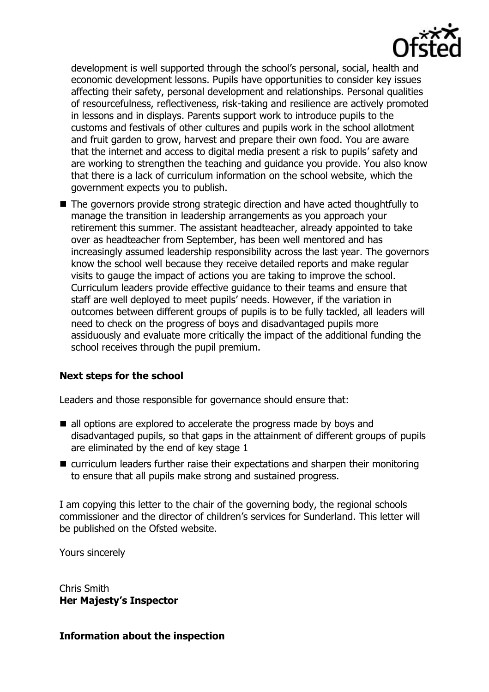

development is well supported through the school's personal, social, health and economic development lessons. Pupils have opportunities to consider key issues affecting their safety, personal development and relationships. Personal qualities of resourcefulness, reflectiveness, risk-taking and resilience are actively promoted in lessons and in displays. Parents support work to introduce pupils to the customs and festivals of other cultures and pupils work in the school allotment and fruit garden to grow, harvest and prepare their own food. You are aware that the internet and access to digital media present a risk to pupils' safety and are working to strengthen the teaching and guidance you provide. You also know that there is a lack of curriculum information on the school website, which the government expects you to publish.

■ The governors provide strong strategic direction and have acted thoughtfully to manage the transition in leadership arrangements as you approach your retirement this summer. The assistant headteacher, already appointed to take over as headteacher from September, has been well mentored and has increasingly assumed leadership responsibility across the last year. The governors know the school well because they receive detailed reports and make regular visits to gauge the impact of actions you are taking to improve the school. Curriculum leaders provide effective guidance to their teams and ensure that staff are well deployed to meet pupils' needs. However, if the variation in outcomes between different groups of pupils is to be fully tackled, all leaders will need to check on the progress of boys and disadvantaged pupils more assiduously and evaluate more critically the impact of the additional funding the school receives through the pupil premium.

# **Next steps for the school**

Leaders and those responsible for governance should ensure that:

- all options are explored to accelerate the progress made by boys and disadvantaged pupils, so that gaps in the attainment of different groups of pupils are eliminated by the end of key stage 1
- curriculum leaders further raise their expectations and sharpen their monitoring to ensure that all pupils make strong and sustained progress.

I am copying this letter to the chair of the governing body, the regional schools commissioner and the director of children's services for Sunderland. This letter will be published on the Ofsted website.

Yours sincerely

Chris Smith **Her Majesty's Inspector**

### **Information about the inspection**